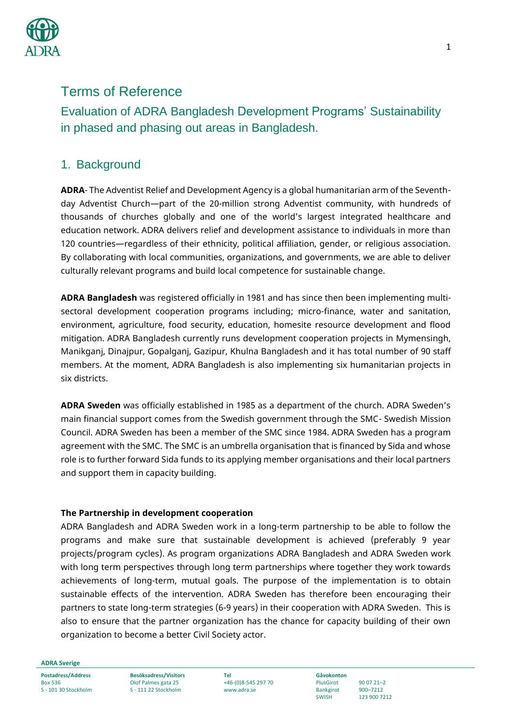

# Terms of Reference

Evaluation of ADRA Bangladesh Development Programs' Sustainability in phased and phasing out areas in Bangladesh.

## 1. Background

**ADRA**- The Adventist Relief and Development Agency is a global humanitarian arm of the Seventhday Adventist Church—part of the 20-million strong Adventist community, with hundreds of thousands of churches globally and one of the world's largest integrated healthcare and education network. ADRA delivers relief and development assistance to individuals in more than 120 countries—regardless of their ethnicity, political affiliation, gender, or religious association. By collaborating with local communities, organizations, and governments, we are able to deliver culturally relevant programs and build local competence for sustainable change.

**ADRA Bangladesh** was registered officially in 1981 and has since then been implementing multisectoral development cooperation programs including; micro-finance, water and sanitation, environment, agriculture, food security, education, homesite resource development and flood mitigation. ADRA Bangladesh currently runs development cooperation projects in Mymensingh, Manikganj, Dinajpur, Gopalganj, Gazipur, Khulna Bangladesh and it has total number of 90 staff members. At the moment, ADRA Bangladesh is also implementing six humanitarian projects in six districts.

**ADRA Sweden** was officially established in 1985 as a department of the church. ADRA Sweden's main financial support comes from the Swedish government through the SMC- Swedish Mission Council. ADRA Sweden has been a member of the SMC since 1984. ADRA Sweden has a program agreement with the SMC. The SMC is an umbrella organisation that is financed by Sida and whose role is to further forward Sida funds to its applying member organisations and their local partners and support them in capacity building.

#### **The Partnership in development cooperation**

ADRA Bangladesh and ADRA Sweden work in a long-term partnership to be able to follow the programs and make sure that sustainable development is achieved (preferably 9 year projects/program cycles). As program organizations ADRA Bangladesh and ADRA Sweden work with long term perspectives through long term partnerships where together they work towards achievements of long-term, mutual goals. The purpose of the implementation is to obtain sustainable effects of the intervention. ADRA Sweden has therefore been encouraging their partners to state long-term strategies (6-9 years) in their cooperation with ADRA Sweden. This is also to ensure that the partner organization has the chance for capacity building of their own organization to become a better Civil Society actor.

**ADRA Sverige**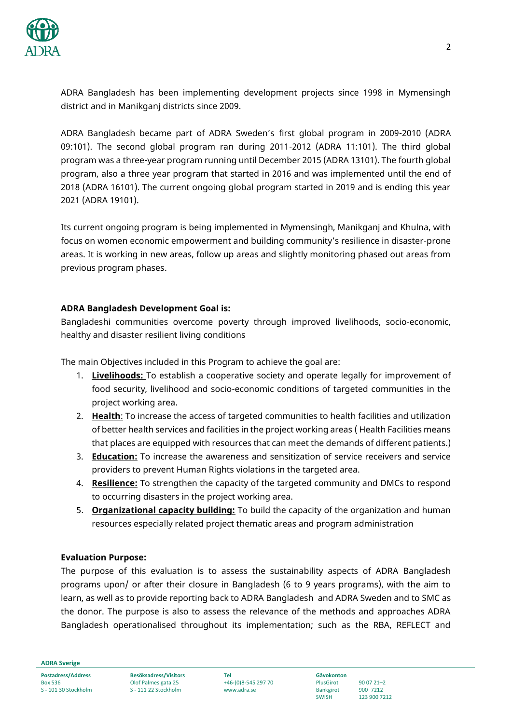

ADRA Bangladesh has been implementing development projects since 1998 in Mymensingh district and in Manikganj districts since 2009.

ADRA Bangladesh became part of ADRA Sweden's first global program in 2009-2010 (ADRA 09:101). The second global program ran during 2011-2012 (ADRA 11:101). The third global program was a three-year program running until December 2015 (ADRA 13101). The fourth global program, also a three year program that started in 2016 and was implemented until the end of 2018 (ADRA 16101). The current ongoing global program started in 2019 and is ending this year 2021 (ADRA 19101).

Its current ongoing program is being implemented in Mymensingh, Manikganj and Khulna, with focus on women economic empowerment and building community's resilience in disaster-prone areas. It is working in new areas, follow up areas and slightly monitoring phased out areas from previous program phases.

#### **ADRA Bangladesh Development Goal is:**

Bangladeshi communities overcome poverty through improved livelihoods, socio-economic, healthy and disaster resilient living conditions

The main Objectives included in this Program to achieve the goal are:

- 1. **Livelihoods:** To establish a cooperative society and operate legally for improvement of food security, livelihood and socio-economic conditions of targeted communities in the project working area.
- 2. **Health**: To increase the access of targeted communities to health facilities and utilization of better health services and facilities in the project working areas ( Health Facilities means that places are equipped with resources that can meet the demands of different patients.)
- 3. **Education:** To increase the awareness and sensitization of service receivers and service providers to prevent Human Rights violations in the targeted area.
- 4. **Resilience:** To strengthen the capacity of the targeted community and DMCs to respond to occurring disasters in the project working area.
- 5. **Organizational capacity building:** To build the capacity of the organization and human resources especially related project thematic areas and program administration

#### **Evaluation Purpose:**

The purpose of this evaluation is to assess the sustainability aspects of ADRA Bangladesh programs upon/ or after their closure in Bangladesh (6 to 9 years programs), with the aim to learn, as well as to provide reporting back to ADRA Bangladesh and ADRA Sweden and to SMC as the donor. The purpose is also to assess the relevance of the methods and approaches ADRA Bangladesh operationalised throughout its implementation; such as the RBA, REFLECT and

**ADRA Sverige**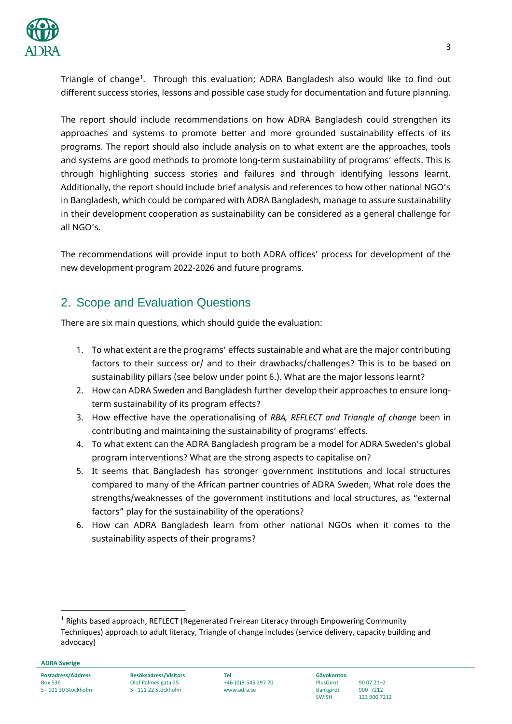

Triangle of change<sup>1</sup>. Through this evaluation; ADRA Bangladesh also would like to find out different success stories, lessons and possible case study for documentation and future planning.

The report should include recommendations on how ADRA Bangladesh could strengthen its approaches and systems to promote better and more grounded sustainability effects of its programs. The report should also include analysis on to what extent are the approaches, tools and systems are good methods to promote long-term sustainability of programs' effects. This is through highlighting success stories and failures and through identifying lessons learnt. Additionally, the report should include brief analysis and references to how other national NGO's in Bangladesh, which could be compared with ADRA Bangladesh, manage to assure sustainability in their development cooperation as sustainability can be considered as a general challenge for all NGO's.

The recommendations will provide input to both ADRA offices' process for development of the new development program 2022-2026 and future programs.

# 2. Scope and Evaluation Questions

There are six main questions, which should guide the evaluation:

- 1. To what extent are the programs' effects sustainable and what are the major contributing factors to their success or/ and to their drawbacks/challenges? This is to be based on sustainability pillars (see below under point 6.). What are the major lessons learnt?
- 2. How can ADRA Sweden and Bangladesh further develop their approaches to ensure longterm sustainability of its program effects?
- 3. How effective have the operationalising of *RBA, REFLECT and Triangle of change* been in contributing and maintaining the sustainability of programs' effects.
- 4. To what extent can the ADRA Bangladesh program be a model for ADRA Sweden's global program interventions? What are the strong aspects to capitalise on?
- 5. It seems that Bangladesh has stronger government institutions and local structures compared to many of the African partner countries of ADRA Sweden, What role does the strengths/weaknesses of the government institutions and local structures, as "external factors" play for the sustainability of the operations?
- 6. How can ADRA Bangladesh learn from other national NGOs when it comes to the sustainability aspects of their programs?

**ADRA Sverige**

1

<sup>&</sup>lt;sup>1</sup> Rights based approach, REFLECT (Regenerated Freirean Literacy through Empowering Community Techniques) approach to adult literacy, Triangle of change includes (service delivery, capacity building and advocacy)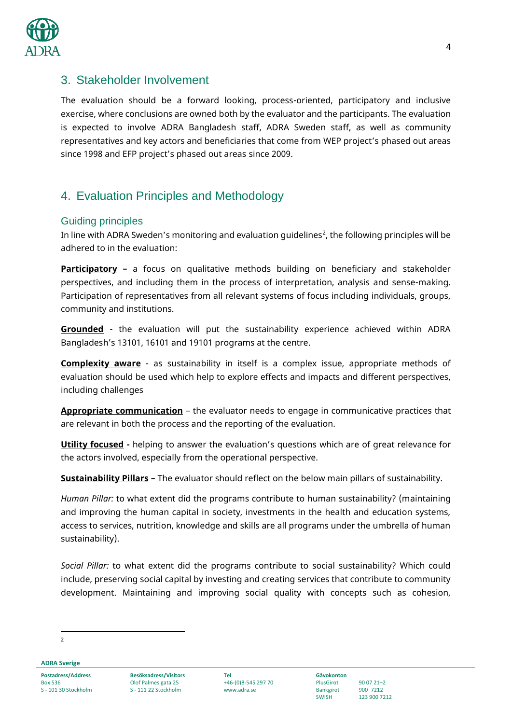

## 3. Stakeholder Involvement

The evaluation should be a forward looking, process-oriented, participatory and inclusive exercise, where conclusions are owned both by the evaluator and the participants. The evaluation is expected to involve ADRA Bangladesh staff, ADRA Sweden staff, as well as community representatives and key actors and beneficiaries that come from WEP project's phased out areas since 1998 and EFP project's phased out areas since 2009.

# 4. Evaluation Principles and Methodology

### Guiding principles

In line with ADRA Sweden's monitoring and evaluation guidelines<sup>2</sup>, the following principles will be adhered to in the evaluation:

**Participatory –** a focus on qualitative methods building on beneficiary and stakeholder perspectives, and including them in the process of interpretation, analysis and sense-making. Participation of representatives from all relevant systems of focus including individuals, groups, community and institutions.

**Grounded** - the evaluation will put the sustainability experience achieved within ADRA Bangladesh's 13101, 16101 and 19101 programs at the centre.

**Complexity aware** - as sustainability in itself is a complex issue, appropriate methods of evaluation should be used which help to explore effects and impacts and different perspectives, including challenges

**Appropriate communication** – the evaluator needs to engage in communicative practices that are relevant in both the process and the reporting of the evaluation.

**Utility focused** - helping to answer the evaluation's questions which are of great relevance for the actors involved, especially from the operational perspective.

**Sustainability Pillars –** The evaluator should reflect on the below main pillars of sustainability.

*Human Pillar:* to what extent did the programs contribute to human sustainability? (maintaining and improving the human capital in society, investments in the health and education systems, access to services, nutrition, knowledge and skills are all programs under the umbrella of human sustainability).

*Social Pillar:* to what extent did the programs contribute to social sustainability? Which could include, preserving social capital by investing and creating services that contribute to community development. Maintaining and improving social quality with concepts such as cohesion,

<sup>1</sup>  $\overline{2}$ 

**ADRA Sverige**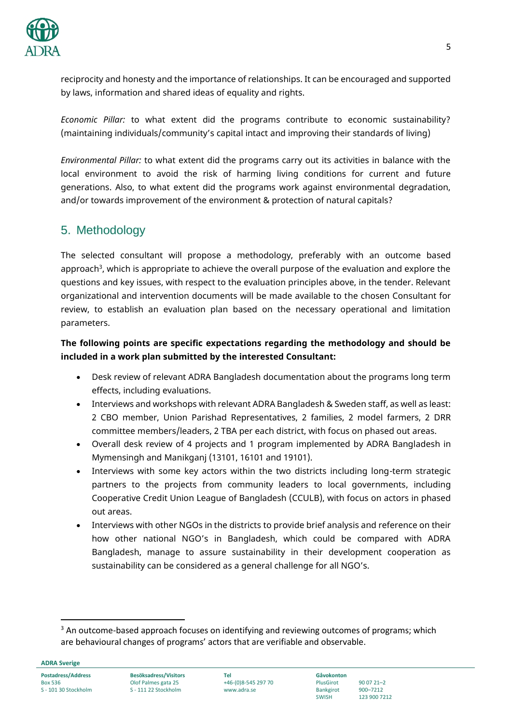

reciprocity and honesty and the importance of relationships. It can be encouraged and supported by laws, information and shared ideas of equality and rights.

*Economic Pillar:* to what extent did the programs contribute to economic sustainability? (maintaining individuals/community's capital intact and improving their standards of living)

*Environmental Pillar:* to what extent did the programs carry out its activities in balance with the local environment to avoid the risk of harming living conditions for current and future generations. Also, to what extent did the programs work against environmental degradation, and/or towards improvement of the environment & protection of natural capitals?

## 5. Methodology

The selected consultant will propose a methodology, preferably with an outcome based approach<sup>3</sup>, which is appropriate to achieve the overall purpose of the evaluation and explore the questions and key issues, with respect to the evaluation principles above, in the tender. Relevant organizational and intervention documents will be made available to the chosen Consultant for review, to establish an evaluation plan based on the necessary operational and limitation parameters.

### **The following points are specific expectations regarding the methodology and should be included in a work plan submitted by the interested Consultant:**

- Desk review of relevant ADRA Bangladesh documentation about the programs long term effects, including evaluations.
- Interviews and workshops with relevant ADRA Bangladesh & Sweden staff, as well as least: 2 CBO member, Union Parishad Representatives, 2 families, 2 model farmers, 2 DRR committee members/leaders, 2 TBA per each district, with focus on phased out areas.
- Overall desk review of 4 projects and 1 program implemented by ADRA Bangladesh in Mymensingh and Manikganj (13101, 16101 and 19101).
- Interviews with some key actors within the two districts including long-term strategic partners to the projects from community leaders to local governments, including Cooperative Credit Union League of Bangladesh (CCULB), with focus on actors in phased out areas.
- Interviews with other NGOs in the districts to provide brief analysis and reference on their how other national NGO's in Bangladesh, which could be compared with ADRA Bangladesh, manage to assure sustainability in their development cooperation as sustainability can be considered as a general challenge for all NGO's.

**ADRA Sverige**

 $\overline{a}$ 

 $3$  An outcome-based approach focuses on identifying and reviewing outcomes of programs; which are behavioural changes of programs' actors that are verifiable and observable.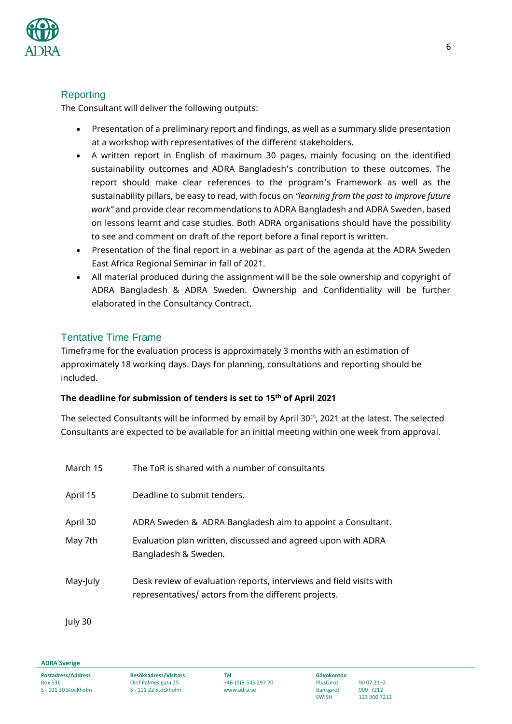

## Reporting

The Consultant will deliver the following outputs:

- Presentation of a preliminary report and findings, as well as a summary slide presentation at a workshop with representatives of the different stakeholders.
- A written report in English of maximum 30 pages, mainly focusing on the identified sustainability outcomes and ADRA Bangladesh's contribution to these outcomes. The report should make clear references to the program's Framework as well as the sustainability pillars, be easy to read, with focus on *"learning from the past to improve future work"* and provide clear recommendations to ADRA Bangladesh and ADRA Sweden, based on lessons learnt and case studies. Both ADRA organisations should have the possibility to see and comment on draft of the report before a final report is written.
- Presentation of the final report in a webinar as part of the agenda at the ADRA Sweden East Africa Regional Seminar in fall of 2021.
- All material produced during the assignment will be the sole ownership and copyright of ADRA Bangladesh & ADRA Sweden. Ownership and Confidentiality will be further elaborated in the Consultancy Contract.

## Tentative Time Frame

Timeframe for the evaluation process is approximately 3 months with an estimation of approximately 18 working days. Days for planning, consultations and reporting should be included.

### **The deadline for submission of tenders is set to 15th of April 2021**

The selected Consultants will be informed by email by April 30<sup>th</sup>, 2021 at the latest. The selected Consultants are expected to be available for an initial meeting within one week from approval.

| March 15 | The ToR is shared with a number of consultants                                                                              |
|----------|-----------------------------------------------------------------------------------------------------------------------------|
| April 15 | Deadline to submit tenders.                                                                                                 |
| April 30 | ADRA Sweden & ADRA Bangladesh aim to appoint a Consultant.                                                                  |
| May 7th  | Evaluation plan written, discussed and agreed upon with ADRA<br>Bangladesh & Sweden.                                        |
| May-July | Desk review of evaluation reports, interviews and field visits with<br>representatives/ actors from the different projects. |

July 30

**ADRA Sverige**

SWISH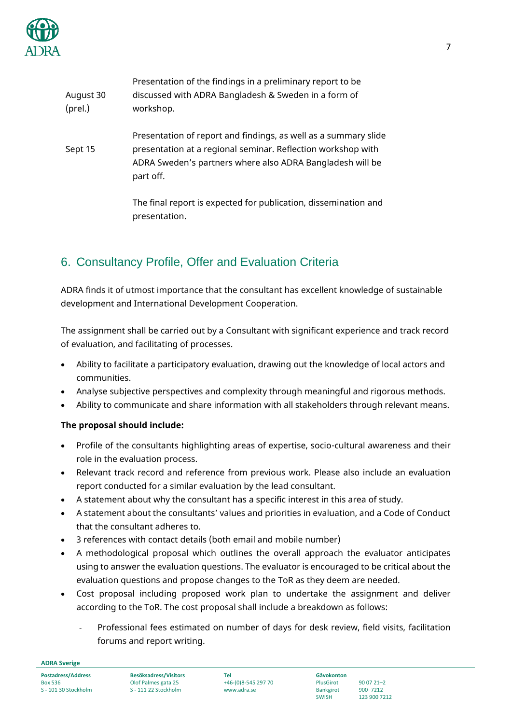

| August 30<br>(prel.) | Presentation of the findings in a preliminary report to be<br>discussed with ADRA Bangladesh & Sweden in a form of<br>workshop.                                                                           |
|----------------------|-----------------------------------------------------------------------------------------------------------------------------------------------------------------------------------------------------------|
| Sept 15              | Presentation of report and findings, as well as a summary slide<br>presentation at a regional seminar. Reflection workshop with<br>ADRA Sweden's partners where also ADRA Bangladesh will be<br>part off. |
|                      | The final report is expected for publication, dissemination and<br>presentation.                                                                                                                          |

# 6. Consultancy Profile, Offer and Evaluation Criteria

ADRA finds it of utmost importance that the consultant has excellent knowledge of sustainable development and International Development Cooperation.

The assignment shall be carried out by a Consultant with significant experience and track record of evaluation, and facilitating of processes.

- Ability to facilitate a participatory evaluation, drawing out the knowledge of local actors and communities.
- Analyse subjective perspectives and complexity through meaningful and rigorous methods.
- Ability to communicate and share information with all stakeholders through relevant means.

### **The proposal should include:**

- Profile of the consultants highlighting areas of expertise, socio-cultural awareness and their role in the evaluation process.
- Relevant track record and reference from previous work. Please also include an evaluation report conducted for a similar evaluation by the lead consultant.
- A statement about why the consultant has a specific interest in this area of study.
- A statement about the consultants' values and priorities in evaluation, and a Code of Conduct that the consultant adheres to.
- 3 references with contact details (both email and mobile number)
- A methodological proposal which outlines the overall approach the evaluator anticipates using to answer the evaluation questions. The evaluator is encouraged to be critical about the evaluation questions and propose changes to the ToR as they deem are needed.
- Cost proposal including proposed work plan to undertake the assignment and deliver according to the ToR. The cost proposal shall include a breakdown as follows:
	- Professional fees estimated on number of days for desk review, field visits, facilitation forums and report writing.

**ADRA Sverige**